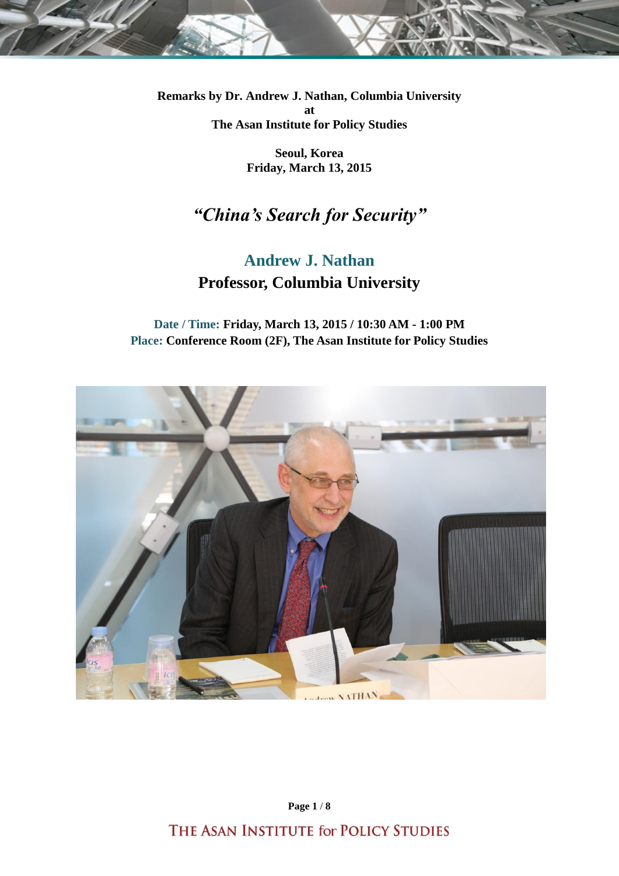**Remarks by Dr. Andrew J. Nathan, Columbia University at The Asan Institute for Policy Studies**

> **Seoul, Korea Friday, March 13, 2015**

# *"China's Search for Security"*

## **Andrew J. Nathan Professor, Columbia University**

**Date / Time: Friday, March 13, 2015 / 10:30 AM - 1:00 PM Place: Conference Room (2F), The Asan Institute for Policy Studies**



**Page 1** / **8**

THE ASAN INSTITUTE for POLICY STUDIES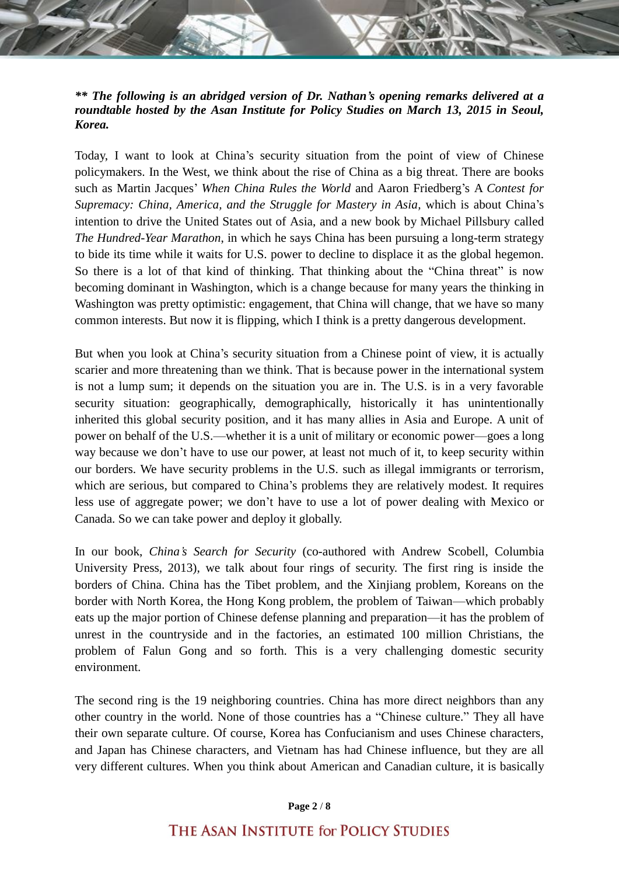*\*\* The following is an abridged version of Dr. Nathan's opening remarks delivered at a roundtable hosted by the Asan Institute for Policy Studies on March 13, 2015 in Seoul, Korea.*

Today, I want to look at China's security situation from the point of view of Chinese policymakers. In the West, we think about the rise of China as a big threat. There are books such as Martin Jacques' *When China Rules the World* and Aaron Friedberg's A *Contest for Supremacy: China, America, and the Struggle for Mastery in Asia, which is about China's* intention to drive the United States out of Asia, and a new book by Michael Pillsbury called *The Hundred-Year Marathon*, in which he says China has been pursuing a long-term strategy to bide its time while it waits for U.S. power to decline to displace it as the global hegemon. So there is a lot of that kind of thinking. That thinking about the "China threat" is now becoming dominant in Washington, which is a change because for many years the thinking in Washington was pretty optimistic: engagement, that China will change, that we have so many common interests. But now it is flipping, which I think is a pretty dangerous development.

But when you look at China's security situation from a Chinese point of view, it is actually scarier and more threatening than we think. That is because power in the international system is not a lump sum; it depends on the situation you are in. The U.S. is in a very favorable security situation: geographically, demographically, historically it has unintentionally inherited this global security position, and it has many allies in Asia and Europe. A unit of power on behalf of the U.S.—whether it is a unit of military or economic power—goes a long way because we don't have to use our power, at least not much of it, to keep security within our borders. We have security problems in the U.S. such as illegal immigrants or terrorism, which are serious, but compared to China's problems they are relatively modest. It requires less use of aggregate power; we don't have to use a lot of power dealing with Mexico or Canada. So we can take power and deploy it globally.

In our book, *China's Search for Security* (co-authored with Andrew Scobell, Columbia University Press, 2013), we talk about four rings of security. The first ring is inside the borders of China. China has the Tibet problem, and the Xinjiang problem, Koreans on the border with North Korea, the Hong Kong problem, the problem of Taiwan—which probably eats up the major portion of Chinese defense planning and preparation—it has the problem of unrest in the countryside and in the factories, an estimated 100 million Christians, the problem of Falun Gong and so forth. This is a very challenging domestic security environment.

The second ring is the 19 neighboring countries. China has more direct neighbors than any other country in the world. None of those countries has a "Chinese culture." They all have their own separate culture. Of course, Korea has Confucianism and uses Chinese characters, and Japan has Chinese characters, and Vietnam has had Chinese influence, but they are all very different cultures. When you think about American and Canadian culture, it is basically

### **Page 2** / **8**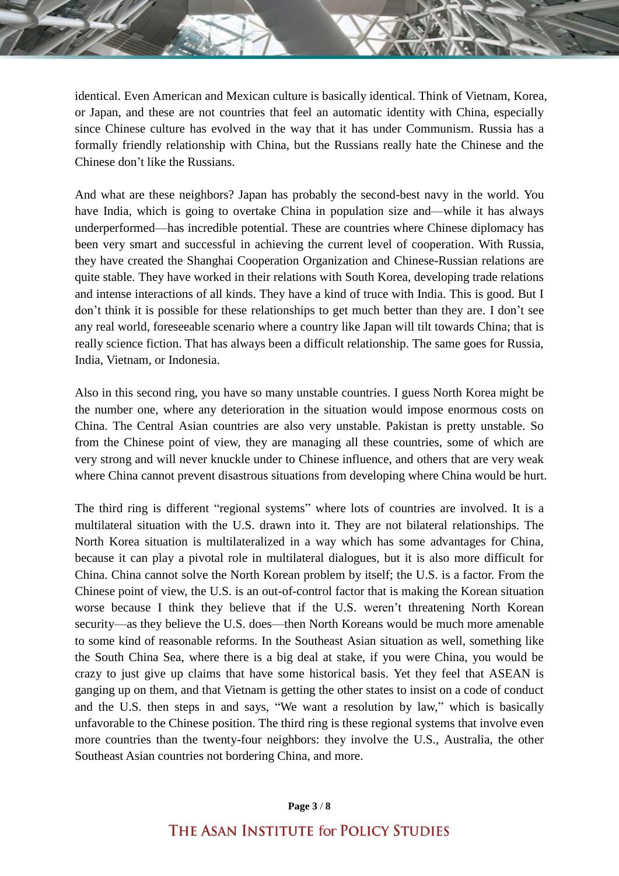identical. Even American and Mexican culture is basically identical. Think of Vietnam, Korea, or Japan, and these are not countries that feel an automatic identity with China, especially since Chinese culture has evolved in the way that it has under Communism. Russia has a formally friendly relationship with China, but the Russians really hate the Chinese and the Chinese don't like the Russians.

And what are these neighbors? Japan has probably the second-best navy in the world. You have India, which is going to overtake China in population size and—while it has always underperformed—has incredible potential. These are countries where Chinese diplomacy has been very smart and successful in achieving the current level of cooperation. With Russia, they have created the Shanghai Cooperation Organization and Chinese-Russian relations are quite stable. They have worked in their relations with South Korea, developing trade relations and intense interactions of all kinds. They have a kind of truce with India. This is good. But I don't think it is possible for these relationships to get much better than they are. I don't see any real world, foreseeable scenario where a country like Japan will tilt towards China; that is really science fiction. That has always been a difficult relationship. The same goes for Russia, India, Vietnam, or Indonesia.

Also in this second ring, you have so many unstable countries. I guess North Korea might be the number one, where any deterioration in the situation would impose enormous costs on China. The Central Asian countries are also very unstable. Pakistan is pretty unstable. So from the Chinese point of view, they are managing all these countries, some of which are very strong and will never knuckle under to Chinese influence, and others that are very weak where China cannot prevent disastrous situations from developing where China would be hurt.

The third ring is different "regional systems" where lots of countries are involved. It is a multilateral situation with the U.S. drawn into it. They are not bilateral relationships. The North Korea situation is multilateralized in a way which has some advantages for China, because it can play a pivotal role in multilateral dialogues, but it is also more difficult for China. China cannot solve the North Korean problem by itself; the U.S. is a factor. From the Chinese point of view, the U.S. is an out-of-control factor that is making the Korean situation worse because I think they believe that if the U.S. weren't threatening North Korean security—as they believe the U.S. does—then North Koreans would be much more amenable to some kind of reasonable reforms. In the Southeast Asian situation as well, something like the South China Sea, where there is a big deal at stake, if you were China, you would be crazy to just give up claims that have some historical basis. Yet they feel that ASEAN is ganging up on them, and that Vietnam is getting the other states to insist on a code of conduct and the U.S. then steps in and says, "We want a resolution by law," which is basically unfavorable to the Chinese position. The third ring is these regional systems that involve even more countries than the twenty-four neighbors: they involve the U.S., Australia, the other Southeast Asian countries not bordering China, and more.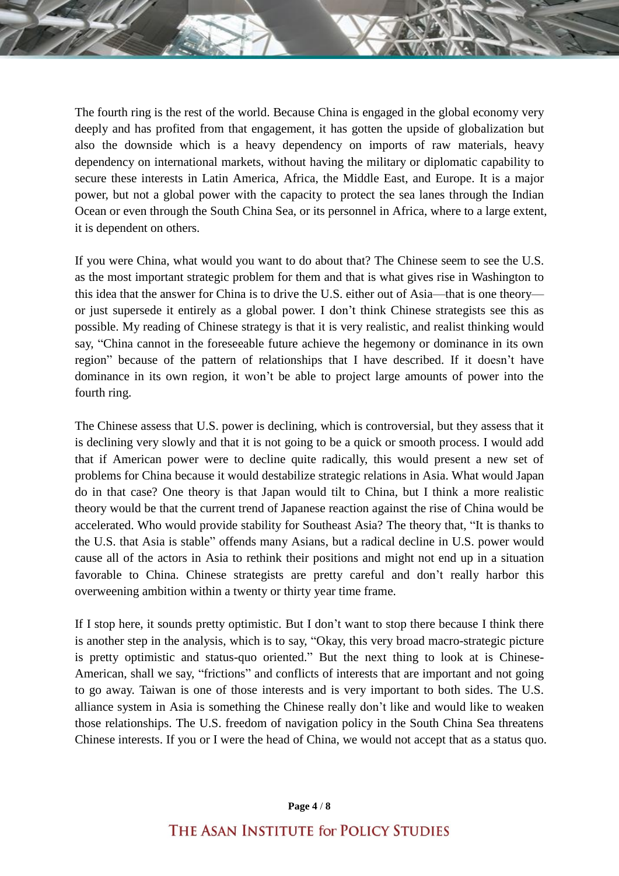The fourth ring is the rest of the world. Because China is engaged in the global economy very deeply and has profited from that engagement, it has gotten the upside of globalization but also the downside which is a heavy dependency on imports of raw materials, heavy dependency on international markets, without having the military or diplomatic capability to secure these interests in Latin America, Africa, the Middle East, and Europe. It is a major power, but not a global power with the capacity to protect the sea lanes through the Indian Ocean or even through the South China Sea, or its personnel in Africa, where to a large extent, it is dependent on others.

If you were China, what would you want to do about that? The Chinese seem to see the U.S. as the most important strategic problem for them and that is what gives rise in Washington to this idea that the answer for China is to drive the U.S. either out of Asia—that is one theory or just supersede it entirely as a global power. I don't think Chinese strategists see this as possible. My reading of Chinese strategy is that it is very realistic, and realist thinking would say, "China cannot in the foreseeable future achieve the hegemony or dominance in its own region" because of the pattern of relationships that I have described. If it doesn't have dominance in its own region, it won't be able to project large amounts of power into the fourth ring.

The Chinese assess that U.S. power is declining, which is controversial, but they assess that it is declining very slowly and that it is not going to be a quick or smooth process. I would add that if American power were to decline quite radically, this would present a new set of problems for China because it would destabilize strategic relations in Asia. What would Japan do in that case? One theory is that Japan would tilt to China, but I think a more realistic theory would be that the current trend of Japanese reaction against the rise of China would be accelerated. Who would provide stability for Southeast Asia? The theory that, "It is thanks to the U.S. that Asia is stable" offends many Asians, but a radical decline in U.S. power would cause all of the actors in Asia to rethink their positions and might not end up in a situation favorable to China. Chinese strategists are pretty careful and don't really harbor this overweening ambition within a twenty or thirty year time frame.

If I stop here, it sounds pretty optimistic. But I don't want to stop there because I think there is another step in the analysis, which is to say, "Okay, this very broad macro-strategic picture is pretty optimistic and status-quo oriented." But the next thing to look at is Chinese-American, shall we say, "frictions" and conflicts of interests that are important and not going to go away. Taiwan is one of those interests and is very important to both sides. The U.S. alliance system in Asia is something the Chinese really don't like and would like to weaken those relationships. The U.S. freedom of navigation policy in the South China Sea threatens Chinese interests. If you or I were the head of China, we would not accept that as a status quo.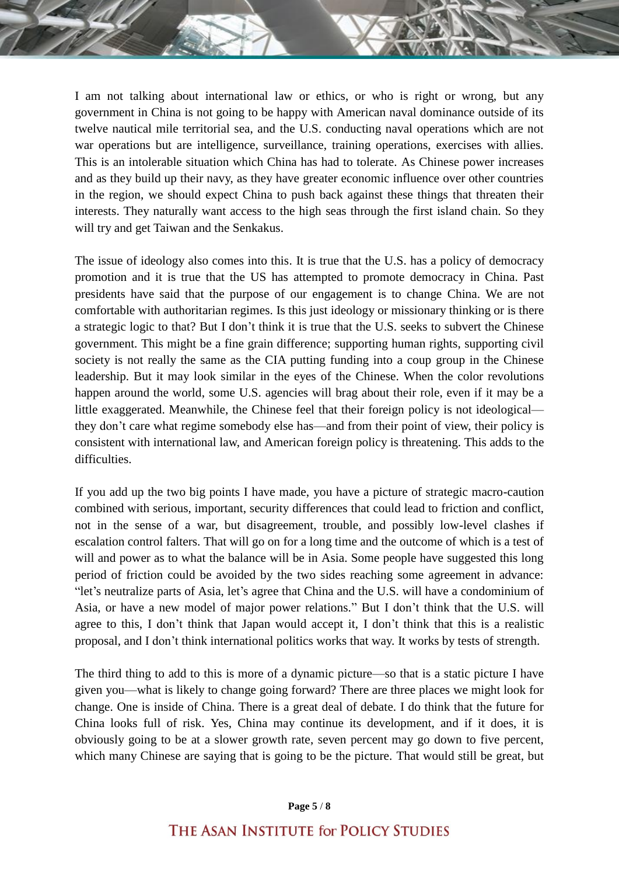I am not talking about international law or ethics, or who is right or wrong, but any government in China is not going to be happy with American naval dominance outside of its twelve nautical mile territorial sea, and the U.S. conducting naval operations which are not war operations but are intelligence, surveillance, training operations, exercises with allies. This is an intolerable situation which China has had to tolerate. As Chinese power increases and as they build up their navy, as they have greater economic influence over other countries in the region, we should expect China to push back against these things that threaten their interests. They naturally want access to the high seas through the first island chain. So they will try and get Taiwan and the Senkakus.

The issue of ideology also comes into this. It is true that the U.S. has a policy of democracy promotion and it is true that the US has attempted to promote democracy in China. Past presidents have said that the purpose of our engagement is to change China. We are not comfortable with authoritarian regimes. Is this just ideology or missionary thinking or is there a strategic logic to that? But I don't think it is true that the U.S. seeks to subvert the Chinese government. This might be a fine grain difference; supporting human rights, supporting civil society is not really the same as the CIA putting funding into a coup group in the Chinese leadership. But it may look similar in the eyes of the Chinese. When the color revolutions happen around the world, some U.S. agencies will brag about their role, even if it may be a little exaggerated. Meanwhile, the Chinese feel that their foreign policy is not ideological they don't care what regime somebody else has—and from their point of view, their policy is consistent with international law, and American foreign policy is threatening. This adds to the difficulties.

If you add up the two big points I have made, you have a picture of strategic macro-caution combined with serious, important, security differences that could lead to friction and conflict, not in the sense of a war, but disagreement, trouble, and possibly low-level clashes if escalation control falters. That will go on for a long time and the outcome of which is a test of will and power as to what the balance will be in Asia. Some people have suggested this long period of friction could be avoided by the two sides reaching some agreement in advance: "let's neutralize parts of Asia, let's agree that China and the U.S. will have a condominium of Asia, or have a new model of major power relations." But I don't think that the U.S. will agree to this, I don't think that Japan would accept it, I don't think that this is a realistic proposal, and I don't think international politics works that way. It works by tests of strength.

The third thing to add to this is more of a dynamic picture—so that is a static picture I have given you—what is likely to change going forward? There are three places we might look for change. One is inside of China. There is a great deal of debate. I do think that the future for China looks full of risk. Yes, China may continue its development, and if it does, it is obviously going to be at a slower growth rate, seven percent may go down to five percent, which many Chinese are saying that is going to be the picture. That would still be great, but

### **Page 5** / **8**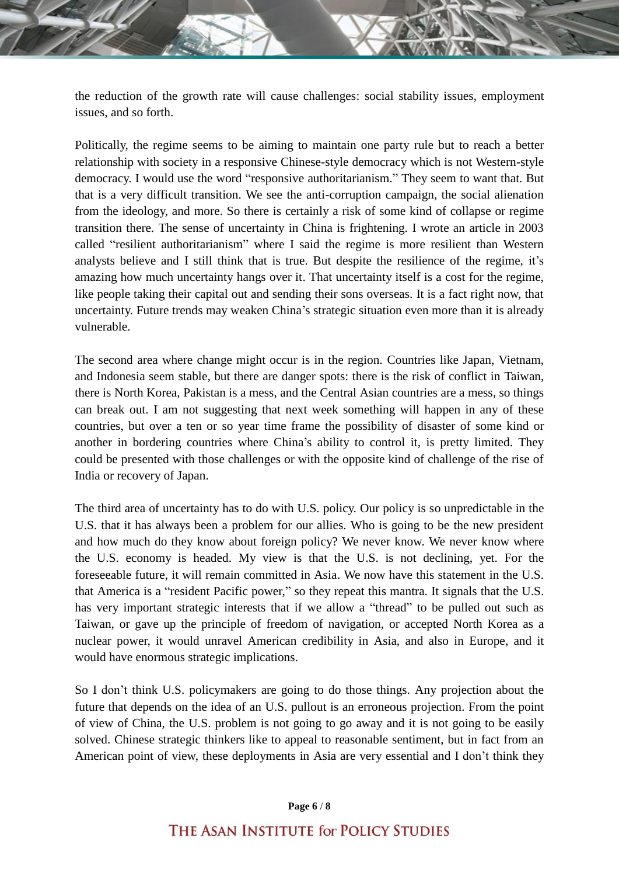the reduction of the growth rate will cause challenges: social stability issues, employment issues, and so forth.

Politically, the regime seems to be aiming to maintain one party rule but to reach a better relationship with society in a responsive Chinese-style democracy which is not Western-style democracy. I would use the word "responsive authoritarianism." They seem to want that. But that is a very difficult transition. We see the anti-corruption campaign, the social alienation from the ideology, and more. So there is certainly a risk of some kind of collapse or regime transition there. The sense of uncertainty in China is frightening. I wrote an article in 2003 called "resilient authoritarianism" where I said the regime is more resilient than Western analysts believe and I still think that is true. But despite the resilience of the regime, it's amazing how much uncertainty hangs over it. That uncertainty itself is a cost for the regime, like people taking their capital out and sending their sons overseas. It is a fact right now, that uncertainty. Future trends may weaken China's strategic situation even more than it is already vulnerable.

The second area where change might occur is in the region. Countries like Japan, Vietnam, and Indonesia seem stable, but there are danger spots: there is the risk of conflict in Taiwan, there is North Korea, Pakistan is a mess, and the Central Asian countries are a mess, so things can break out. I am not suggesting that next week something will happen in any of these countries, but over a ten or so year time frame the possibility of disaster of some kind or another in bordering countries where China's ability to control it, is pretty limited. They could be presented with those challenges or with the opposite kind of challenge of the rise of India or recovery of Japan.

The third area of uncertainty has to do with U.S. policy. Our policy is so unpredictable in the U.S. that it has always been a problem for our allies. Who is going to be the new president and how much do they know about foreign policy? We never know. We never know where the U.S. economy is headed. My view is that the U.S. is not declining, yet. For the foreseeable future, it will remain committed in Asia. We now have this statement in the U.S. that America is a "resident Pacific power," so they repeat this mantra. It signals that the U.S. has very important strategic interests that if we allow a "thread" to be pulled out such as Taiwan, or gave up the principle of freedom of navigation, or accepted North Korea as a nuclear power, it would unravel American credibility in Asia, and also in Europe, and it would have enormous strategic implications.

So I don't think U.S. policymakers are going to do those things. Any projection about the future that depends on the idea of an U.S. pullout is an erroneous projection. From the point of view of China, the U.S. problem is not going to go away and it is not going to be easily solved. Chinese strategic thinkers like to appeal to reasonable sentiment, but in fact from an American point of view, these deployments in Asia are very essential and I don't think they

### **Page 6** / **8**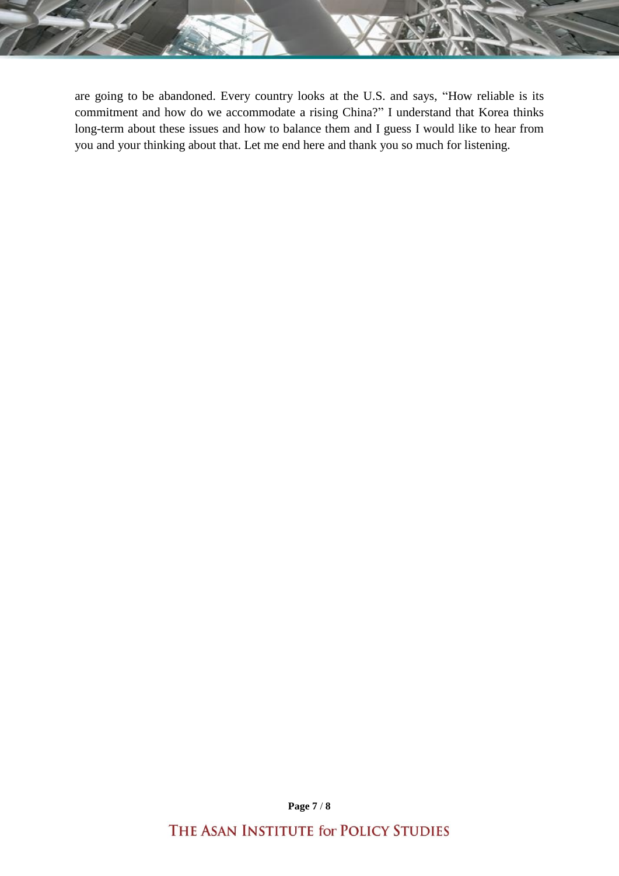are going to be abandoned. Every country looks at the U.S. and says, "How reliable is its commitment and how do we accommodate a rising China?" I understand that Korea thinks long-term about these issues and how to balance them and I guess I would like to hear from you and your thinking about that. Let me end here and thank you so much for listening.